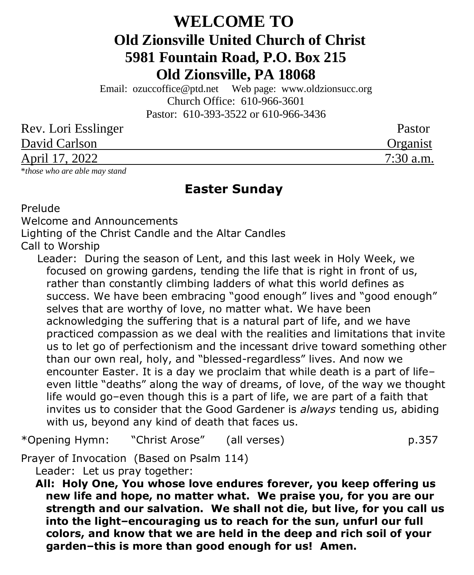# **WELCOME TO Old Zionsville United Church of Christ 5981 Fountain Road, P.O. Box 215 Old Zionsville, PA 18068**

Email: [ozuccoffice@ptd.net](mailto:ozuccoffice@ptd.net) Web page: [www.ol](http://www.uccwebsites.net/oldzionsvilleuccpa.html)dzionsucc.org Church Office: 610-966-3601 Pastor: 610-393-3522 or 610-966-3436

| Rev. Lori Esslinger | Pastor      |
|---------------------|-------------|
| David Carlson       | Organist    |
| April 17, 2022      | $7:30$ a.m. |

\**those who are able may stand*

## **Easter Sunday**

Prelude

Welcome and Announcements

Lighting of the Christ Candle and the Altar Candles

Call to Worship

Leader: During the season of Lent, and this last week in Holy Week, we focused on growing gardens, tending the life that is right in front of us, rather than constantly climbing ladders of what this world defines as success. We have been embracing "good enough" lives and "good enough" selves that are worthy of love, no matter what. We have been acknowledging the suffering that is a natural part of life, and we have practiced compassion as we deal with the realities and limitations that invite us to let go of perfectionism and the incessant drive toward something other than our own real, holy, and "blessed-regardless" lives. And now we encounter Easter. It is a day we proclaim that while death is a part of life– even little "deaths" along the way of dreams, of love, of the way we thought life would go–even though this is a part of life, we are part of a faith that invites us to consider that the Good Gardener is *always* tending us, abiding with us, beyond any kind of death that faces us.

\*Opening Hymn: "Christ Arose" (all verses) p.357

Prayer of Invocation (Based on Psalm 114)

Leader: Let us pray together:

 **All: Holy One, You whose love endures forever, you keep offering us new life and hope, no matter what. We praise you, for you are our strength and our salvation. We shall not die, but live, for you call us into the light–encouraging us to reach for the sun, unfurl our full colors, and know that we are held in the deep and rich soil of your garden–this is more than good enough for us! Amen.**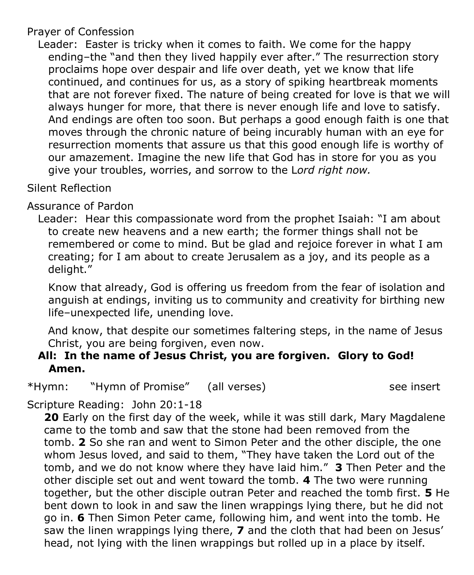### Prayer of Confession

 Leader: Easter is tricky when it comes to faith. We come for the happy ending–the "and then they lived happily ever after." The resurrection story proclaims hope over despair and life over death, yet we know that life continued, and continues for us, as a story of spiking heartbreak moments that are not forever fixed. The nature of being created for love is that we will always hunger for more, that there is never enough life and love to satisfy. And endings are often too soon. But perhaps a good enough faith is one that moves through the chronic nature of being incurably human with an eye for resurrection moments that assure us that this good enough life is worthy of our amazement. Imagine the new life that God has in store for you as you give your troubles, worries, and sorrow to the L*ord right now.*

### Silent Reflection

## Assurance of Pardon

 Leader: Hear this compassionate word from the prophet Isaiah: "I am about to create new heavens and a new earth; the former things shall not be remembered or come to mind. But be glad and rejoice forever in what I am creating; for I am about to create Jerusalem as a joy, and its people as a delight."

Know that already, God is offering us freedom from the fear of isolation and anguish at endings, inviting us to community and creativity for birthing new life–unexpected life, unending love.

And know, that despite our sometimes faltering steps, in the name of Jesus Christ, you are being forgiven, even now.

### **All: In the name of Jesus Christ, you are forgiven. Glory to God! Amen.**

\*Hymn: "Hymn of Promise" (all verses) see insert

## Scripture Reading: John 20:1-18

**20** Early on the first day of the week, while it was still dark, Mary Magdalene came to the tomb and saw that the stone had been removed from the tomb. **2** So she ran and went to Simon Peter and the other disciple, the one whom Jesus loved, and said to them, "They have taken the Lord out of the tomb, and we do not know where they have laid him." **3** Then Peter and the other disciple set out and went toward the tomb. **4** The two were running together, but the other disciple outran Peter and reached the tomb first. **5** He bent down to look in and saw the linen wrappings lying there, but he did not go in. **6** Then Simon Peter came, following him, and went into the tomb. He saw the linen wrappings lying there, **7** and the cloth that had been on Jesus' head, not lying with the linen wrappings but rolled up in a place by itself.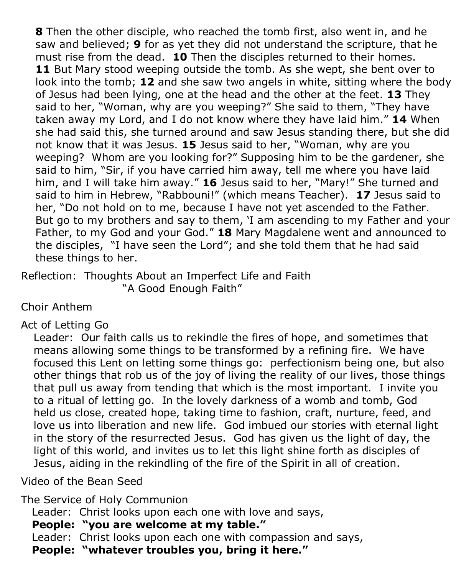**8** Then the other disciple, who reached the tomb first, also went in, and he saw and believed; **9** for as yet they did not understand the scripture, that he must rise from the dead. **10** Then the disciples returned to their homes. 11 But Mary stood weeping outside the tomb. As she wept, she bent over to look into the tomb; **12** and she saw two angels in white, sitting where the body of Jesus had been lying, one at the head and the other at the feet. **13** They said to her, "Woman, why are you weeping?" She said to them, "They have taken away my Lord, and I do not know where they have laid him." **14** When she had said this, she turned around and saw Jesus standing there, but she did not know that it was Jesus. **15** Jesus said to her, "Woman, why are you weeping? Whom are you looking for?" Supposing him to be the gardener, she said to him, "Sir, if you have carried him away, tell me where you have laid him, and I will take him away." **16** Jesus said to her, "Mary!" She turned and said to him in Hebrew, "Rabbouni!" (which means Teacher). **17** Jesus said to her, "Do not hold on to me, because I have not yet ascended to the Father. But go to my brothers and say to them, 'I am ascending to my Father and your Father, to my God and your God." **18** Mary Magdalene went and announced to the disciples, "I have seen the Lord"; and she told them that he had said these things to her.

Reflection: Thoughts About an Imperfect Life and Faith "A Good Enough Faith"

Choir Anthem

## Act of Letting Go

Leader: Our faith calls us to rekindle the fires of hope, and sometimes that means allowing some things to be transformed by a refining fire. We have focused this Lent on letting some things go: perfectionism being one, but also other things that rob us of the joy of living the reality of our lives, those things that pull us away from tending that which is the most important. I invite you to a ritual of letting go. In the lovely darkness of a womb and tomb, God held us close, created hope, taking time to fashion, craft, nurture, feed, and love us into liberation and new life. God imbued our stories with eternal light in the story of the resurrected Jesus. God has given us the light of day, the light of this world, and invites us to let this light shine forth as disciples of Jesus, aiding in the rekindling of the fire of the Spirit in all of creation.

Video of the Bean Seed

The Service of Holy Communion

Leader: Christ looks upon each one with love and says,

 **People: "you are welcome at my table."**

Leader: Christ looks upon each one with compassion and says,

 **People: "whatever troubles you, bring it here."**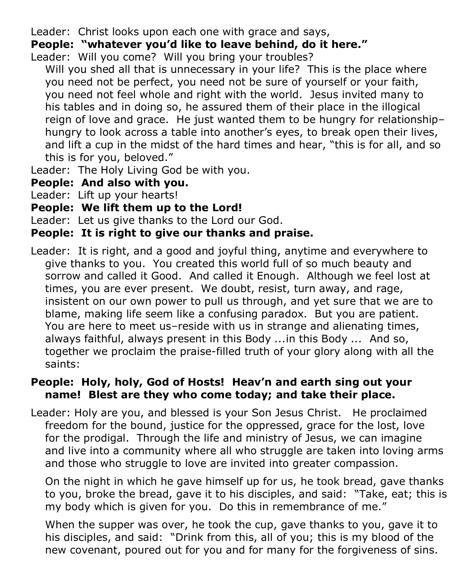Leader: Christ looks upon each one with grace and says,

## **People: "whatever you'd like to leave behind, do it here."**

- Leader: Will you come? Will you bring your troubles?
	- Will you shed all that is unnecessary in your life? This is the place where you need not be perfect, you need not be sure of yourself or your faith, you need not feel whole and right with the world. Jesus invited many to his tables and in doing so, he assured them of their place in the illogical reign of love and grace. He just wanted them to be hungry for relationship– hungry to look across a table into another's eyes, to break open their lives, and lift a cup in the midst of the hard times and hear, "this is for all, and so this is for you, beloved."
- Leader: The Holy Living God be with you.
- **People: And also with you.**
- Leader: Lift up your hearts!
- **People: We lift them up to the Lord!**
- Leader: Let us give thanks to the Lord our God.

## **People: It is right to give our thanks and praise.**

Leader: It is right, and a good and joyful thing, anytime and everywhere to give thanks to you. You created this world full of so much beauty and sorrow and called it Good. And called it Enough. Although we feel lost at times, you are ever present. We doubt, resist, turn away, and rage, insistent on our own power to pull us through, and yet sure that we are to blame, making life seem like a confusing paradox. But you are patient. You are here to meet us–reside with us in strange and alienating times, always faithful, always present in this Body *...*in this Body *...* And so, together we proclaim the praise-filled truth of your glory along with all the saints:

## **People: Holy, holy, God of Hosts! Heav'n and earth sing out your name! Blest are they who come today; and take their place.**

Leader: Holy are you, and blessed is your Son Jesus Christ. He proclaimed freedom for the bound, justice for the oppressed, grace for the lost, love for the prodigal. Through the life and ministry of Jesus, we can imagine and live into a community where all who struggle are taken into loving arms and those who struggle to love are invited into greater compassion.

 On the night in which he gave himself up for us, he took bread, gave thanks to you, broke the bread, gave it to his disciples, and said: "Take, eat; this is my body which is given for you. Do this in remembrance of me."

 When the supper was over, he took the cup, gave thanks to you, gave it to his disciples, and said: "Drink from this, all of you; this is my blood of the new covenant, poured out for you and for many for the forgiveness of sins.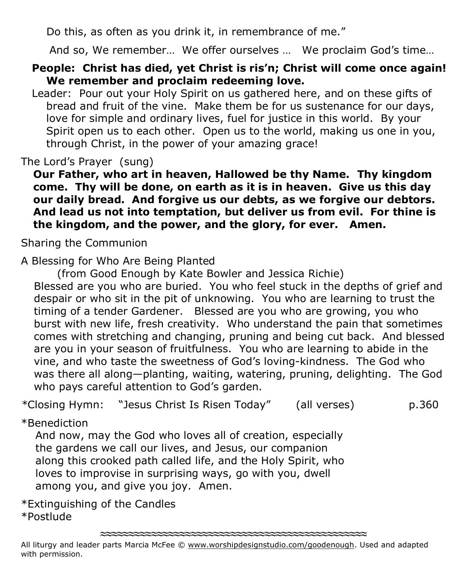Do this, as often as you drink it, in remembrance of me."

And so, We remember… We offer ourselves … We proclaim God's time…

## **People: Christ has died, yet Christ is ris'n; Christ will come once again! We remember and proclaim redeeming love.**

 Leader: Pour out your Holy Spirit on us gathered here, and on these gifts of bread and fruit of the vine. Make them be for us sustenance for our days, love for simple and ordinary lives, fuel for justice in this world. By your Spirit open us to each other. Open us to the world, making us one in you, through Christ, in the power of your amazing grace!

The Lord's Prayer (sung)

**Our Father, who art in heaven, Hallowed be thy Name. Thy kingdom come. Thy will be done, on earth as it is in heaven. Give us this day our daily bread. And forgive us our debts, as we forgive our debtors. And lead us not into temptation, but deliver us from evil. For thine is the kingdom, and the power, and the glory, for ever. Amen.**

Sharing the Communion

A Blessing for Who Are Being Planted

(from Good Enough by Kate Bowler and Jessica Richie)

Blessed are you who are buried. You who feel stuck in the depths of grief and despair or who sit in the pit of unknowing. You who are learning to trust the timing of a tender Gardener. Blessed are you who are growing, you who burst with new life, fresh creativity. Who understand the pain that sometimes comes with stretching and changing, pruning and being cut back. And blessed are you in your season of fruitfulness. You who are learning to abide in the vine, and who taste the sweetness of God's loving-kindness. The God who was there all along—planting, waiting, watering, pruning, delighting. The God who pays careful attention to God's garden.

*\**Closing Hymn: "Jesus Christ Is Risen Today" (all verses) p.360

## \*Benediction

 And now, may the God who loves all of creation, especially the gardens we call our lives, and Jesus, our companion along this crooked path called life, and the Holy Spirit, who loves to improvise in surprising ways, go with you, dwell among you, and give you joy. Amen.

\*Extinguishing of the Candles \*Postlude

**≈≈≈≈≈≈≈≈≈≈≈≈≈≈≈≈≈≈≈≈≈≈≈≈≈≈≈≈≈≈≈≈≈≈≈≈≈≈≈≈≈≈≈≈≈≈≈**

All liturgy and leader parts Marcia McFee © [www.worshipdesignstudio.com/goodenough.](http://www.worshipdesignstudio.com/goodenough) Used and adapted with permission.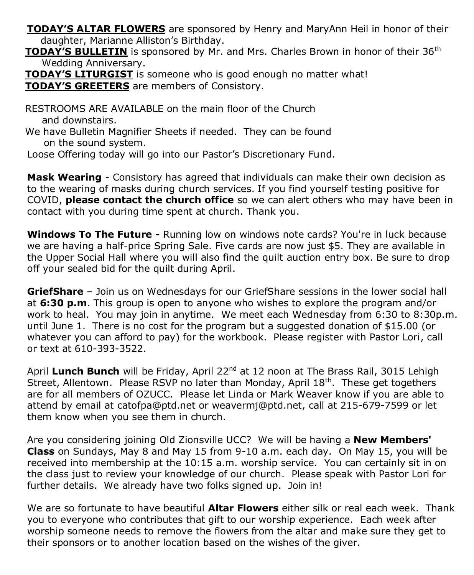**TODAY'S ALTAR FLOWERS** are sponsored by Henry and MaryAnn Heil in honor of their daughter, Marianne Alliston's Birthday.

**TODAY'S BULLETIN** is sponsored by Mr. and Mrs. Charles Brown in honor of their 36<sup>th</sup> Wedding Anniversary.

 **TODAY'S LITURGIST** is someone who is good enough no matter what! **TODAY'S GREETERS** are members of Consistory.

 RESTROOMS ARE AVAILABLE on the main floor of the Church and downstairs.

 We have Bulletin Magnifier Sheets if needed. They can be found on the sound system.

Loose Offering today will go into our Pastor's Discretionary Fund.

**Mask Wearing** - Consistory has agreed that individuals can make their own decision as to the wearing of masks during church services. If you find yourself testing positive for COVID, **please contact the church office** so we can alert others who may have been in contact with you during time spent at church. Thank you.

**Windows To The Future -** Running low on windows note cards? You're in luck because we are having a half-price Spring Sale. Five cards are now just \$5. They are available in the Upper Social Hall where you will also find the quilt auction entry box. Be sure to drop off your sealed bid for the quilt during April.

**GriefShare** – Join us on Wednesdays for our GriefShare sessions in the lower social hall at **6:30 p.m**. This group is open to anyone who wishes to explore the program and/or work to heal. You may join in anytime. We meet each Wednesday from 6:30 to 8:30p.m. until June 1. There is no cost for the program but a suggested donation of \$15.00 (or whatever you can afford to pay) for the workbook. Please register with Pastor Lori, call or text at 610-393-3522.

April Lunch Bunch will be Friday, April 22<sup>nd</sup> at 12 noon at The Brass Rail, 3015 Lehigh Street, Allentown. Please RSVP no later than Monday, April 18<sup>th</sup>. These get togethers are for all members of OZUCC. Please let Linda or Mark Weaver know if you are able to attend by email at [catofpa@ptd.net](mailto:catofpa@ptd.net) or [weavermj@ptd.net,](mailto:weavermj@ptd.net) call at 215-679-7599 or let them know when you see them in church.

Are you considering joining Old Zionsville UCC? We will be having a **New Members' Class** on Sundays, May 8 and May 15 from 9-10 a.m. each day. On May 15, you will be received into membership at the 10:15 a.m. worship service. You can certainly sit in on the class just to review your knowledge of our church. Please speak with Pastor Lori for further details. We already have two folks signed up. Join in!

We are so fortunate to have beautiful **Altar Flowers** either silk or real each week. Thank you to everyone who contributes that gift to our worship experience. Each week after worship someone needs to remove the flowers from the altar and make sure they get to their sponsors or to another location based on the wishes of the giver.